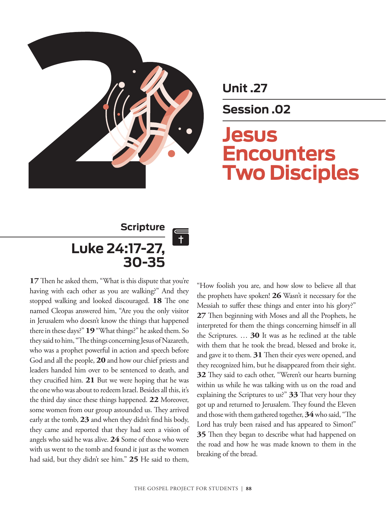

**Unit .27**

**Session .02**

# **Jesus Encounters Two Disciples**

# **Scripture Luke 24:17-27, 30-35**

**17** Then he asked them, "What is this dispute that you're having with each other as you are walking?" And they stopped walking and looked discouraged. **18** The one named Cleopas answered him, "Are you the only visitor in Jerusalem who doesn't know the things that happened there in these days?" **19** "What things?" he asked them. So they said to him, "The things concerning Jesus of Nazareth, who was a prophet powerful in action and speech before God and all the people, **20** and how our chief priests and leaders handed him over to be sentenced to death, and they crucified him. **21** But we were hoping that he was the one who was about to redeem Israel. Besides all this, it's the third day since these things happened. **22** Moreover, some women from our group astounded us. They arrived early at the tomb, **23** and when they didn't find his body, they came and reported that they had seen a vision of angels who said he was alive. **24** Some of those who were with us went to the tomb and found it just as the women had said, but they didn't see him." **25** He said to them,

"How foolish you are, and how slow to believe all that the prophets have spoken! **26** Wasn't it necessary for the Messiah to suffer these things and enter into his glory?" **27** Then beginning with Moses and all the Prophets, he interpreted for them the things concerning himself in all the Scriptures. … **30** It was as he reclined at the table with them that he took the bread, blessed and broke it, and gave it to them. **31**Then their eyes were opened, and they recognized him, but he disappeared from their sight. **32** They said to each other, "Weren't our hearts burning within us while he was talking with us on the road and explaining the Scriptures to us?" **33** That very hour they got up and returned to Jerusalem. They found the Eleven and those with them gathered together, **34** who said, "The Lord has truly been raised and has appeared to Simon!" **35** Then they began to describe what had happened on the road and how he was made known to them in the breaking of the bread.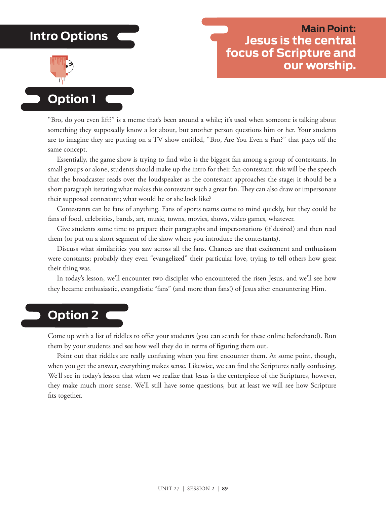## **Intro Options**



### **Main Point: Jesus is the central focus of Scripture and our worship.**

## **Option 1**

"Bro, do you even lift?" is a meme that's been around a while; it's used when someone is talking about something they supposedly know a lot about, but another person questions him or her. Your students are to imagine they are putting on a TV show entitled, "Bro, Are You Even a Fan?" that plays off the same concept.

Essentially, the game show is trying to find who is the biggest fan among a group of contestants. In small groups or alone, students should make up the intro for their fan-contestant; this will be the speech that the broadcaster reads over the loudspeaker as the contestant approaches the stage; it should be a short paragraph iterating what makes this contestant such a great fan. They can also draw or impersonate their supposed contestant; what would he or she look like?

Contestants can be fans of anything. Fans of sports teams come to mind quickly, but they could be fans of food, celebrities, bands, art, music, towns, movies, shows, video games, whatever.

Give students some time to prepare their paragraphs and impersonations (if desired) and then read them (or put on a short segment of the show where you introduce the contestants).

Discuss what similarities you saw across all the fans. Chances are that excitement and enthusiasm were constants; probably they even "evangelized" their particular love, trying to tell others how great their thing was.

In today's lesson, we'll encounter two disciples who encountered the risen Jesus, and we'll see how they became enthusiastic, evangelistic "fans" (and more than fans!) of Jesus after encountering Him.

## **Option 2**

Come up with a list of riddles to offer your students (you can search for these online beforehand). Run them by your students and see how well they do in terms of figuring them out.

Point out that riddles are really confusing when you first encounter them. At some point, though, when you get the answer, everything makes sense. Likewise, we can find the Scriptures really confusing. We'll see in today's lesson that when we realize that Jesus is the centerpiece of the Scriptures, however, they make much more sense. We'll still have some questions, but at least we will see how Scripture fits together.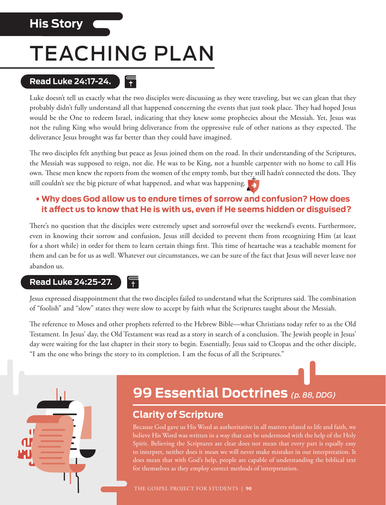## **His Story**

# TEACHING PLAN

 $+$ 

#### **Read Luke 24:17-24.**   $|\overline{+}|$

Luke doesn't tell us exactly what the two disciples were discussing as they were traveling, but we can glean that they probably didn't fully understand all that happened concerning the events that just took place. They had hoped Jesus would be the One to redeem Israel, indicating that they knew some prophecies about the Messiah. Yet, Jesus was not the ruling King who would bring deliverance from the oppressive rule of other nations as they expected. The deliverance Jesus brought was far better than they could have imagined.

The two disciples felt anything but peace as Jesus joined them on the road. In their understanding of the Scriptures, the Messiah was supposed to reign, not die. He was to be King, not a humble carpenter with no home to call His own. These men knew the reports from the women of the empty tomb, but they still hadn't connected the dots. They still couldn't see the big picture of what happened, and what was happening.

#### **• Why does God allow us to endure times of sorrow and confusion? How does it affect us to know that He is with us, even if He seems hidden or disguised?**

There's no question that the disciples were extremely upset and sorrowful over the weekend's events. Furthermore, even in knowing their sorrow and confusion, Jesus still decided to prevent them from recognizing Him (at least for a short while) in order for them to learn certain things first. This time of heartache was a teachable moment for them and can be for us as well. Whatever our circumstances, we can be sure of the fact that Jesus will never leave nor abandon us.

#### **Read Luke 24:25-27.**

Jesus expressed disappointment that the two disciples failed to understand what the Scriptures said. The combination of "foolish" and "slow" states they were slow to accept by faith what the Scriptures taught about the Messiah.

The reference to Moses and other prophets referred to the Hebrew Bible—what Christians today refer to as the Old Testament. In Jesus' day, the Old Testament was read as a story in search of a conclusion. The Jewish people in Jesus' day were waiting for the last chapter in their story to begin. Essentially, Jesus said to Cleopas and the other disciple, "I am the one who brings the story to its completion. I am the focus of all the Scriptures."



# **99 Essential Doctrines** *(p. 88, DDG)*

#### **Clarity of Scripture**

Because God gave us His Word as authoritative in all matters related to life and faith, we believe His Word was written in a way that can be understood with the help of the Holy Spirit. Believing the Scriptures are clear does not mean that every part is equally easy to interpret, neither does it mean we will never make mistakes in our interpretation. It does mean that with God's help, people are capable of understanding the biblical text for themselves as they employ correct methods of interpretation.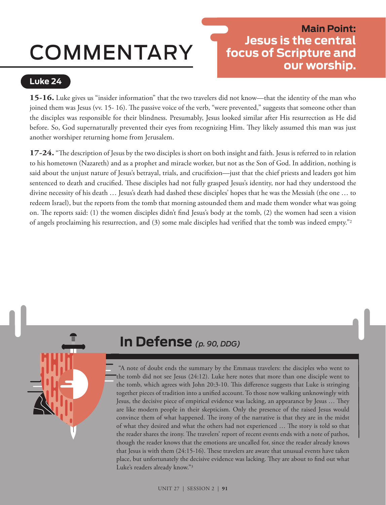# COMMENTARY

#### **Luke 24**

### **Main Point: Jesus is the central focus of Scripture and our worship.**

**15-16.** Luke gives us "insider information" that the two travelers did not know—that the identity of the man who joined them was Jesus (vv. 15- 16). The passive voice of the verb, "were prevented," suggests that someone other than the disciples was responsible for their blindness. Presumably, Jesus looked similar after His resurrection as He did before. So, God supernaturally prevented their eyes from recognizing Him. They likely assumed this man was just another worshiper returning home from Jerusalem.

**17-24.** "The description of Jesus by the two disciples is short on both insight and faith. Jesus is referred to in relation to his hometown (Nazareth) and as a prophet and miracle worker, but not as the Son of God. In addition, nothing is said about the unjust nature of Jesus's betrayal, trials, and crucifixion—just that the chief priests and leaders got him sentenced to death and crucified. These disciples had not fully grasped Jesus's identity, nor had they understood the divine necessity of his death … Jesus's death had dashed these disciples' hopes that he was the Messiah (the one … to redeem Israel), but the reports from the tomb that morning astounded them and made them wonder what was going on. The reports said: (1) the women disciples didn't find Jesus's body at the tomb, (2) the women had seen a vision of angels proclaiming his resurrection, and (3) some male disciples had verified that the tomb was indeed empty."2

# **In Defense** *(p. 90, DDG)*

 "A note of doubt ends the summary by the Emmaus travelers: the disciples who went to the tomb did not see Jesus (24:12). Luke here notes that more than one disciple went to the tomb, which agrees with John 20:3-10. This difference suggests that Luke is stringing together pieces of tradition into a unified account. To those now walking unknowingly with Jesus, the decisive piece of empirical evidence was lacking, an appearance by Jesus … They are like modern people in their skepticism. Only the presence of the raised Jesus would convince them of what happened. The irony of the narrative is that they are in the midst of what they desired and what the others had not experienced … The story is told so that the reader shares the irony. The travelers' report of recent events ends with a note of pathos, though the reader knows that the emotions are uncalled for, since the reader already knows that Jesus is with them (24:15-16). These travelers are aware that unusual events have taken place, but unfortunately the decisive evidence was lacking. They are about to find out what Luke's readers already know."3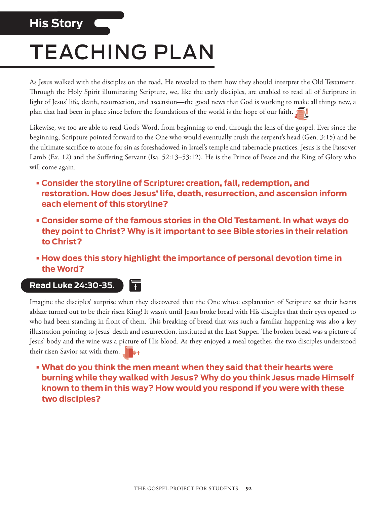# **His Story**

# TEACHING PLAN

As Jesus walked with the disciples on the road, He revealed to them how they should interpret the Old Testament. Through the Holy Spirit illuminating Scripture, we, like the early disciples, are enabled to read all of Scripture in light of Jesus' life, death, resurrection, and ascension—the good news that God is working to make all things new, a plan that had been in place since before the foundations of the world is the hope of our faith.

Likewise, we too are able to read God's Word, from beginning to end, through the lens of the gospel. Ever since the beginning, Scripture pointed forward to the One who would eventually crush the serpent's head (Gen. 3:15) and be the ultimate sacrifice to atone for sin as foreshadowed in Israel's temple and tabernacle practices. Jesus is the Passover Lamb (Ex. 12) and the Suffering Servant (Isa. 52:13–53:12). He is the Prince of Peace and the King of Glory who will come again.

- **• Consider the storyline of Scripture: creation, fall, redemption, and restoration. How does Jesus' life, death, resurrection, and ascension inform each element of this storyline?**
- **• Consider some of the famous stories in the Old Testament. In what ways do they point to Christ? Why is it important to see Bible stories in their relation to Christ?**
- **• How does this story highlight the importance of personal devotion time in the Word?**

#### **Read Luke 24:30-35.**

F

Imagine the disciples' surprise when they discovered that the One whose explanation of Scripture set their hearts ablaze turned out to be their risen King! It wasn't until Jesus broke bread with His disciples that their eyes opened to who had been standing in front of them. This breaking of bread that was such a familiar happening was also a key illustration pointing to Jesus' death and resurrection, instituted at the Last Supper. The broken bread was a picture of Jesus' body and the wine was a picture of His blood. As they enjoyed a meal together, the two disciples understood their risen Savior sat with them.

**• What do you think the men meant when they said that their hearts were burning while they walked with Jesus? Why do you think Jesus made Himself known to them in this way? How would you respond if you were with these two disciples?**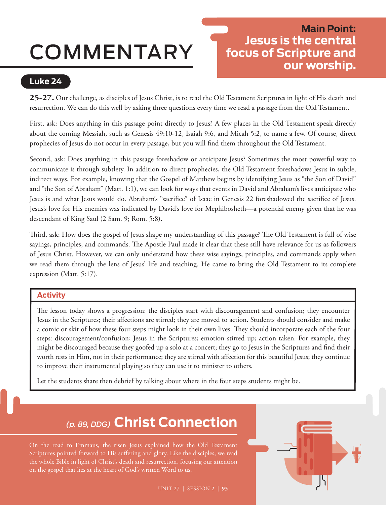# COMMENTARY

### **Main Point: Jesus is the central focus of Scripture and our worship.**

#### **Luke 24**

**25-27.** Our challenge, as disciples of Jesus Christ, is to read the Old Testament Scriptures in light of His death and resurrection. We can do this well by asking three questions every time we read a passage from the Old Testament.

First, ask: Does anything in this passage point directly to Jesus? A few places in the Old Testament speak directly about the coming Messiah, such as Genesis 49:10-12, Isaiah 9:6, and Micah 5:2, to name a few. Of course, direct prophecies of Jesus do not occur in every passage, but you will find them throughout the Old Testament.

Second, ask: Does anything in this passage foreshadow or anticipate Jesus? Sometimes the most powerful way to communicate is through subtlety. In addition to direct prophecies, the Old Testament foreshadows Jesus in subtle, indirect ways. For example, knowing that the Gospel of Matthew begins by identifying Jesus as "the Son of David" and "the Son of Abraham" (Matt. 1:1), we can look for ways that events in David and Abraham's lives anticipate who Jesus is and what Jesus would do. Abraham's "sacrifice" of Isaac in Genesis 22 foreshadowed the sacrifice of Jesus. Jesus's love for His enemies was indicated by David's love for Mephibosheth—a potential enemy given that he was descendant of King Saul (2 Sam. 9; Rom. 5:8).

Third, ask: How does the gospel of Jesus shape my understanding of this passage? The Old Testament is full of wise sayings, principles, and commands. The Apostle Paul made it clear that these still have relevance for us as followers of Jesus Christ. However, we can only understand how these wise sayings, principles, and commands apply when we read them through the lens of Jesus' life and teaching. He came to bring the Old Testament to its complete expression (Matt. 5:17).

#### **Activity**

The lesson today shows a progression: the disciples start with discouragement and confusion; they encounter Jesus in the Scriptures; their affections are stirred; they are moved to action. Students should consider and make a comic or skit of how these four steps might look in their own lives. They should incorporate each of the four steps: discouragement/confusion; Jesus in the Scriptures; emotion stirred up; action taken. For example, they might be discouraged because they goofed up a solo at a concert; they go to Jesus in the Scriptures and find their worth rests in Him, not in their performance; they are stirred with affection for this beautiful Jesus; they continue to improve their instrumental playing so they can use it to minister to others.

Let the students share then debrief by talking about where in the four steps students might be.

# *(p. 89, DDG)* **Christ Connection**

On the road to Emmaus, the risen Jesus explained how the Old Testament Scriptures pointed forward to His suffering and glory. Like the disciples, we read the whole Bible in light of Christ's death and resurrection, focusing our attention on the gospel that lies at the heart of God's written Word to us.

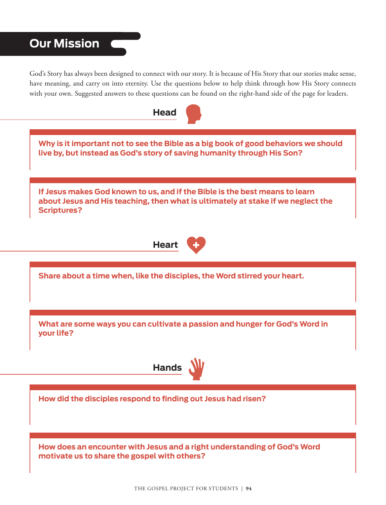## **Our Mission**

God's Story has always been designed to connect with our story. It is because of His Story that our stories make sense, have meaning, and carry on into eternity. Use the questions below to help think through how His Story connects with your own. Suggested answers to these questions can be found on the right-hand side of the page for leaders.